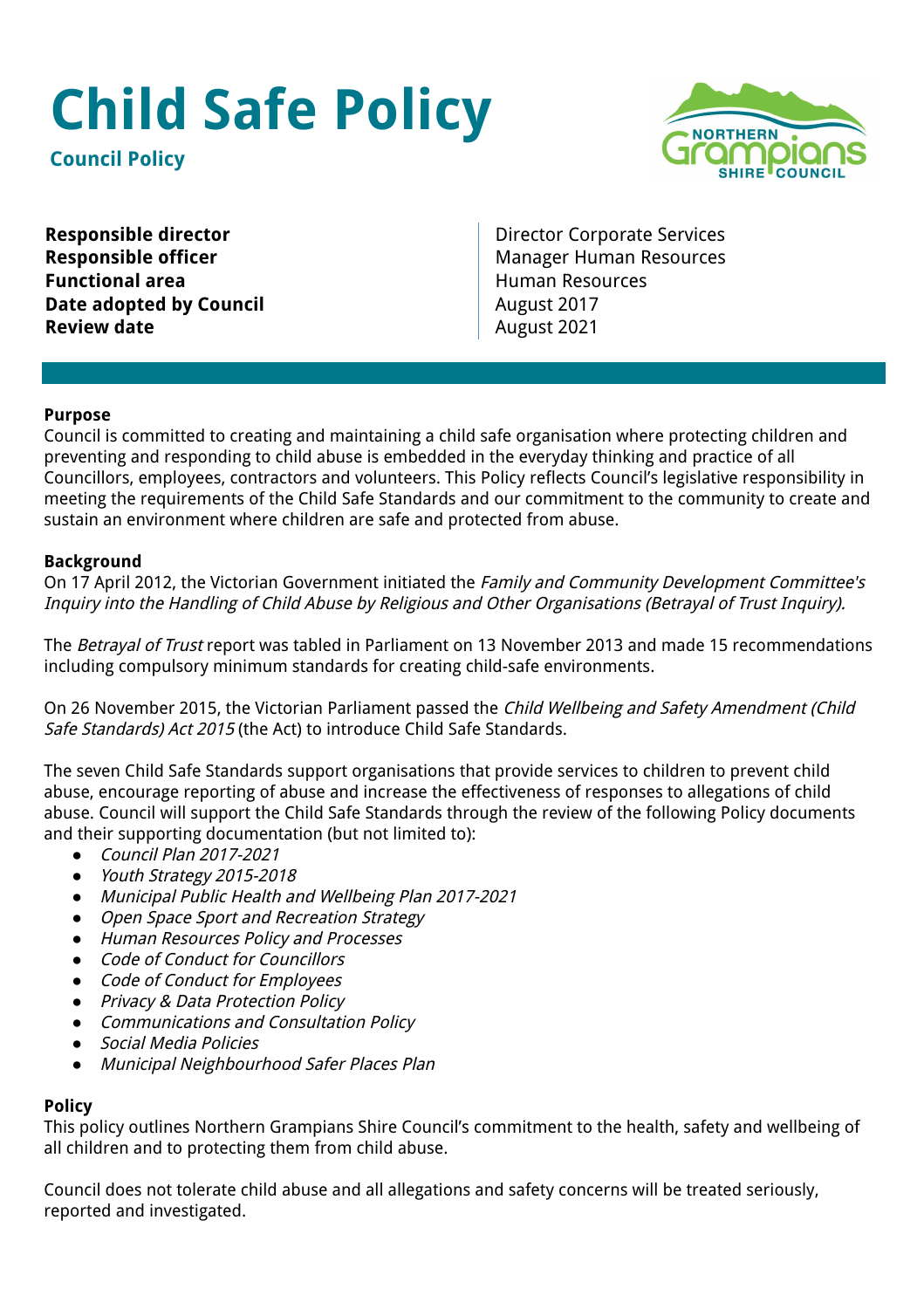# **Child Safe Policy**

**Council Policy**



**Functional area Human Resources Date adopted by Council August 2017 Review date August 2021** 

**Responsible director Director** Director Corporate Services **Responsible officer** Manager Human Resources

### **Purpose**

Council is committed to creating and maintaining a child safe organisation where protecting children and preventing and responding to child abuse is embedded in the everyday thinking and practice of all Councillors, employees, contractors and volunteers. This Policy reflects Council's legislative responsibility in meeting the requirements of the Child Safe Standards and our commitment to the community to create and sustain an environment where children are safe and protected from abuse.

### **Background**

On 17 April 2012, the Victorian Government initiated the Family and Community Development Committee's Inquiry into the Handling of Child Abuse by Religious and Other Organisations (Betrayal of Trust Inquiry).

The Betrayal of Trust report was tabled in Parliament on 13 November 2013 and made 15 recommendations including compulsory minimum standards for creating child-safe environments.

On 26 November 2015, the Victorian Parliament passed the Child Wellbeing and Safety Amendment (Child Safe Standards) Act 2015 (the Act) to introduce Child Safe Standards.

The seven Child Safe Standards support organisations that provide services to children to prevent child abuse, encourage reporting of abuse and increase the effectiveness of responses to allegations of child abuse. Council will support the Child Safe Standards through the review of the following Policy documents and their supporting documentation (but not limited to):

- *●* Council Plan 2017-2021
- *●* Youth Strategy 2015-2018
- *●* Municipal Public Health and Wellbeing Plan 2017-2021
- *●* Open Space Sport and Recreation Strategy
- *●* Human Resources Policy and Processes
- *●* Code of Conduct for Councillors
- *●* Code of Conduct for Employees
- *●* Privacy & Data Protection Policy
- *●* Communications and Consultation Policy
- *●* Social Media Policies
- *●* Municipal Neighbourhood Safer Places Plan

#### **Policy**

This policy outlines Northern Grampians Shire Council's commitment to the health, safety and wellbeing of all children and to protecting them from child abuse.

Council does not tolerate child abuse and all allegations and safety concerns will be treated seriously, reported and investigated.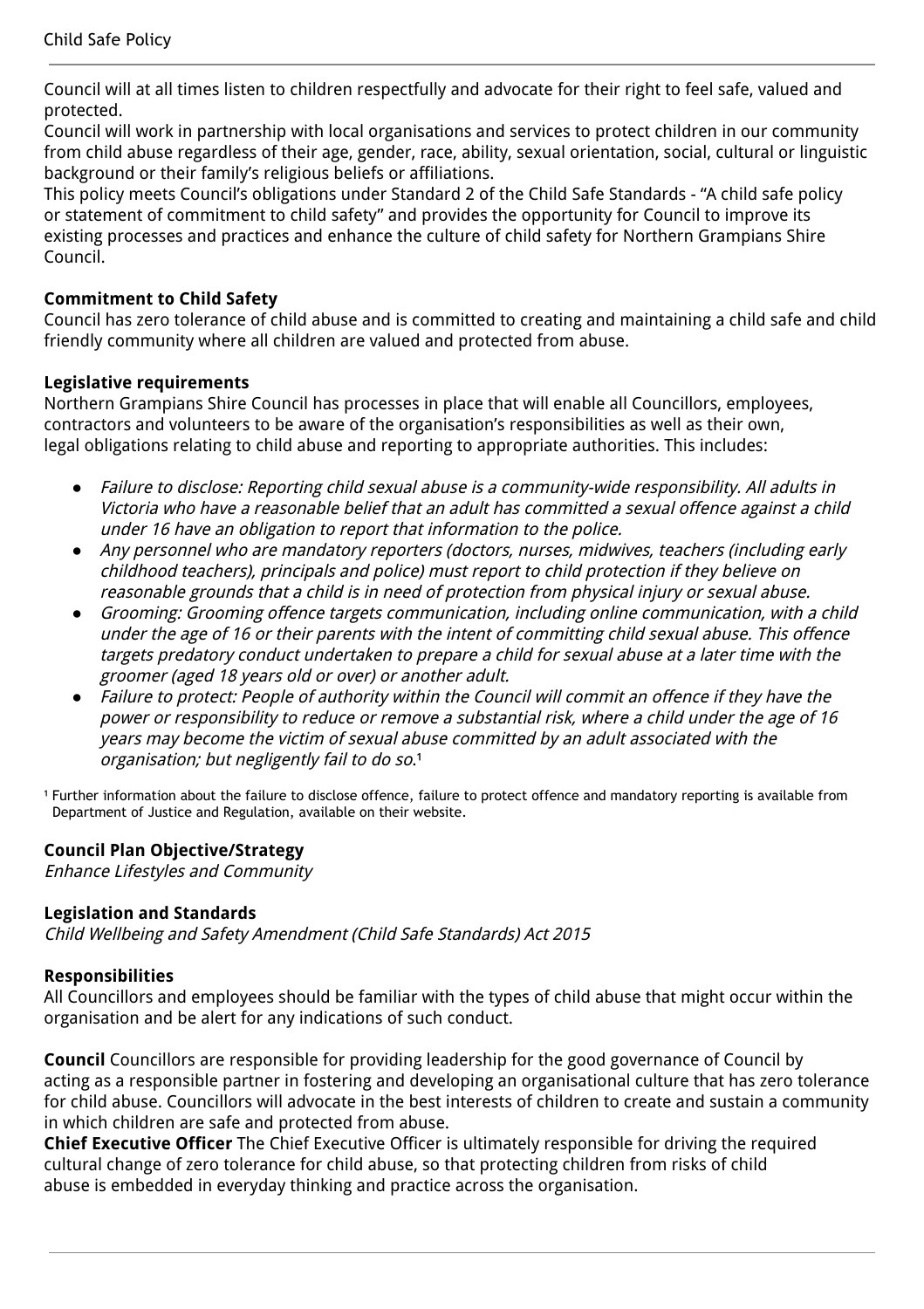Council will at all times listen to children respectfully and advocate for their right to feel safe, valued and protected.

Council will work in partnership with local organisations and services to protect children in our community from child abuse regardless of their age, gender, race, ability, sexual orientation, social, cultural or linguistic background or their family's religious beliefs or affiliations.

This policy meets Council's obligations under Standard 2 of the Child Safe Standards - "A child safe policy or statement of commitment to child safety" and provides the opportunity for Council to improve its existing processes and practices and enhance the culture of child safety for Northern Grampians Shire Council.

# **Commitment to Child Safety**

Council has zero tolerance of child abuse and is committed to creating and maintaining a child safe and child friendly community where all children are valued and protected from abuse.

# **Legislative requirements**

Northern Grampians Shire Council has processes in place that will enable all Councillors, employees, contractors and volunteers to be aware of the organisation's responsibilities as well as their own, legal obligations relating to child abuse and reporting to appropriate authorities. This includes:

- *●* Failure to disclose: Reporting child sexual abuse is <sup>a</sup> community-wide responsibility. All adults in Victoria who have <sup>a</sup> reasonable belief that an adult has committed <sup>a</sup> sexual offence against <sup>a</sup> child under 16 have an obligation to report that information to the police.
- *●* Any personnel who are mandatory reporters (doctors, nurses, midwives, teachers (including early childhood teachers), principals and police) must report to child protection if they believe on reasonable grounds that <sup>a</sup> child is in need of protection from physical injury or sexual abuse.
- *●* Grooming: Grooming offence targets communication, including online communication, with <sup>a</sup> child under the age of 16 or their parents with the intent of committing child sexual abuse. This offence targets predatory conduct undertaken to prepare <sup>a</sup> child for sexual abuse at <sup>a</sup> later time with the groomer (aged 18 years old or over) or another adult.
- Failure to protect: People of authority within the Council will commit an offence if they have the power or responsibility to reduce or remove <sup>a</sup> substantial risk, where <sup>a</sup> child under the age of 16 years may become the victim of sexual abuse committed by an adult associated with the organisation; but negligently fail to do so.<sup>1</sup>

<sup>1</sup> Further information about the failure to disclose offence, failure to protect offence and mandatory reporting is available from Department of Justice and Regulation, available on their website.

# **Council Plan Objective/Strategy**

Enhance Lifestyles and Community

## **Legislation and Standards**

Child Wellbeing and Safety Amendment (Child Safe Standards) Act 2015

# **Responsibilities**

All Councillors and employees should be familiar with the types of child abuse that might occur within the organisation and be alert for any indications of such conduct.

**Council** Councillors are responsible for providing leadership for the good governance of Council by acting as a responsible partner in fostering and developing an organisational culture that has zero tolerance for child abuse. Councillors will advocate in the best interests of children to create and sustain a community in which children are safe and protected from abuse.

**Chief Executive Officer** The Chief Executive Officer is ultimately responsible for driving the required cultural change of zero tolerance for child abuse, so that protecting children from risks of child abuse is embedded in everyday thinking and practice across the organisation.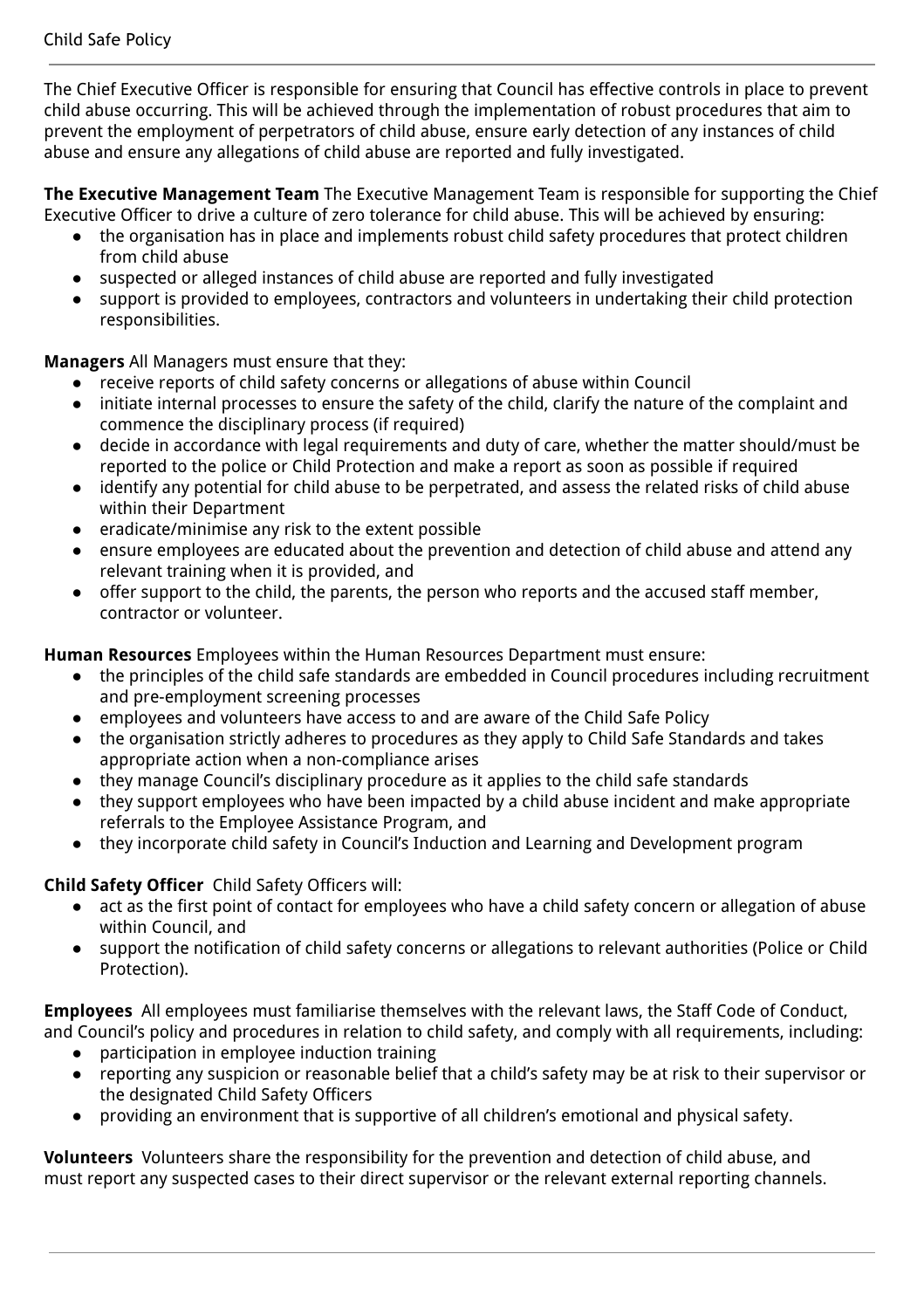The Chief Executive Officer is responsible for ensuring that Council has effective controls in place to prevent child abuse occurring. This will be achieved through the implementation of robust procedures that aim to prevent the employment of perpetrators of child abuse, ensure early detection of any instances of child abuse and ensure any allegations of child abuse are reported and fully investigated.

**The Executive Management Team** The Executive Management Team is responsible for supporting the Chief Executive Officer to drive a culture of zero tolerance for child abuse. This will be achieved by ensuring:

- the organisation has in place and implements robust child safety procedures that protect children from child abuse
- suspected or alleged instances of child abuse are reported and fully investigated
- support is provided to employees, contractors and volunteers in undertaking their child protection responsibilities.

**Managers** All Managers must ensure that they:

- receive reports of child safety concerns or allegations of abuse within Council
- initiate internal processes to ensure the safety of the child, clarify the nature of the complaint and commence the disciplinary process (if required)
- decide in accordance with legal requirements and duty of care, whether the matter should/must be reported to the police or Child Protection and make a report as soon as possible if required
- identify any potential for child abuse to be perpetrated, and assess the related risks of child abuse within their Department
- eradicate/minimise any risk to the extent possible
- ensure employees are educated about the prevention and detection of child abuse and attend any relevant training when it is provided, and
- offer support to the child, the parents, the person who reports and the accused staff member, contractor or volunteer.

**Human Resources** Employees within the Human Resources Department must ensure:

- the principles of the child safe standards are embedded in Council procedures including recruitment and pre-employment screening processes
- employees and volunteers have access to and are aware of the Child Safe Policy
- the organisation strictly adheres to procedures as they apply to Child Safe Standards and takes appropriate action when a non-compliance arises
- they manage Council's disciplinary procedure as it applies to the child safe standards
- they support employees who have been impacted by a child abuse incident and make appropriate referrals to the Employee Assistance Program, and
- they incorporate child safety in Council's Induction and Learning and Development program

## **Child Safety Officer** Child Safety Officers will:

- act as the first point of contact for employees who have a child safety concern or allegation of abuse within Council, and
- support the notification of child safety concerns or allegations to relevant authorities (Police or Child Protection).

**Employees** All employees must familiarise themselves with the relevant laws, the Staff Code of Conduct, and Council's policy and procedures in relation to child safety, and comply with all requirements, including:

- participation in employee induction training
- reporting any suspicion or reasonable belief that a child's safety may be at risk to their supervisor or the designated Child Safety Officers
- providing an environment that is supportive of all children's emotional and physical safety.

**Volunteers** Volunteers share the responsibility for the prevention and detection of child abuse, and must report any suspected cases to their direct supervisor or the relevant external reporting channels.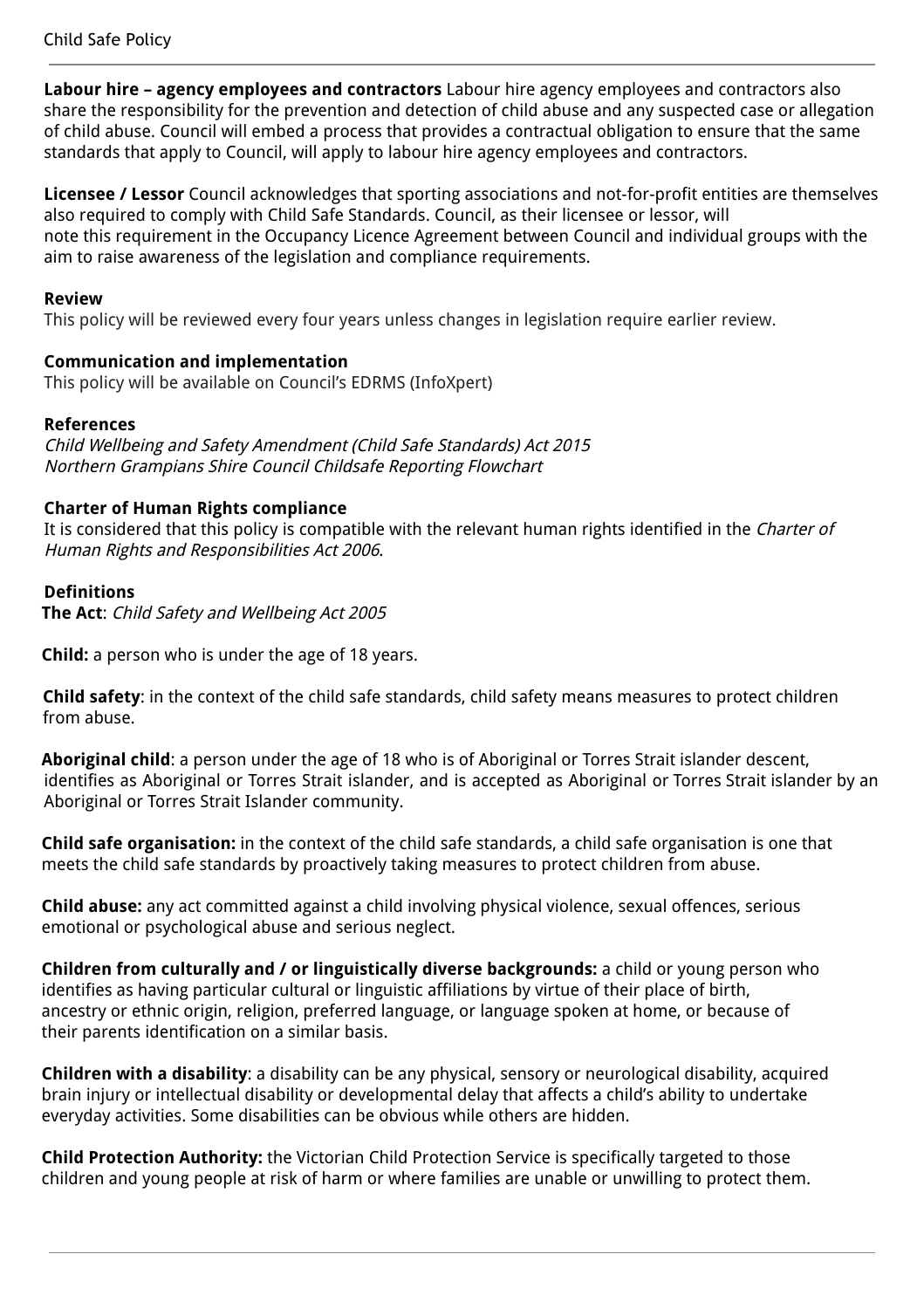**Labour hire – agency employees and contractors** Labour hire agency employees and contractors also share the responsibility for the prevention and detection of child abuse and any suspected case or allegation of child abuse. Council will embed a process that provides a contractual obligation to ensure that the same standards that apply to Council, will apply to labour hire agency employees and contractors.

**Licensee / Lessor** Council acknowledges that sporting associations and not-for-profit entities are themselves also required to comply with Child Safe Standards. Council, as their licensee or lessor, will note this requirement in the Occupancy Licence Agreement between Council and individual groups with the aim to raise awareness of the legislation and compliance requirements.

## **Review**

This policy will be reviewed every four years unless changes in legislation require earlier review.

## **Communication and implementation**

This policy will be available on Council's EDRMS (InfoXpert)

## **References**

Child Wellbeing and Safety Amendment (Child Safe Standards) Act 2015 Northern Grampians Shire Council Childsafe Reporting Flowchart

### **Charter of Human Rights compliance**

It is considered that this policy is compatible with the relevant human rights identified in the Charter of Human Rights and Responsibilities Act 2006.

### **Definitions**

**The Act**: Child Safety and Wellbeing Act 2005

**Child:** a person who is under the age of 18 years.

**Child safety**: in the context of the child safe standards, child safety means measures to protect children from abuse.

**Aboriginal child**: a person under the age of 18 who is of Aboriginal or Torres Strait islander descent, identifies as Aboriginal or Torres Strait islander, and is accepted as Aboriginal or Torres Strait islander by an Aboriginal or Torres Strait Islander community.

**Child safe organisation:** in the context of the child safe standards, a child safe organisation is one that meets the child safe standards by proactively taking measures to protect children from abuse.

**Child abuse:** any act committed against a child involving physical violence, sexual offences, serious emotional or psychological abuse and serious neglect.

**Children from culturally and / or linguistically diverse backgrounds:** a child or young person who identifies as having particular cultural or linguistic affiliations by virtue of their place of birth, ancestry or ethnic origin, religion, preferred language, or language spoken at home, or because of their parents identification on a similar basis.

**Children with a disability**: a disability can be any physical, sensory or neurological disability, acquired brain injury or intellectual disability or developmental delay that affects a child's ability to undertake everyday activities. Some disabilities can be obvious while others are hidden.

**Child Protection Authority:** the Victorian Child Protection Service is specifically targeted to those children and young people at risk of harm or where families are unable or unwilling to protect them.